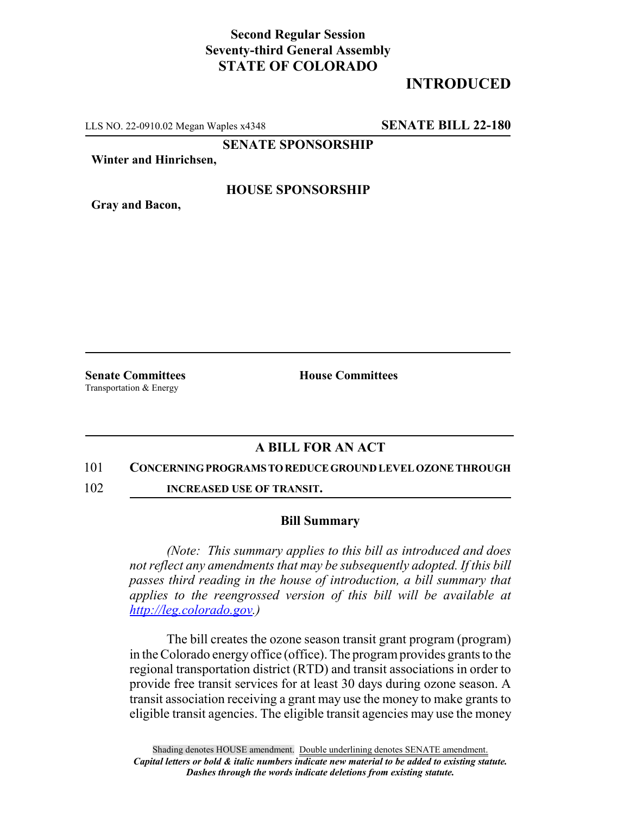## **Second Regular Session Seventy-third General Assembly STATE OF COLORADO**

# **INTRODUCED**

LLS NO. 22-0910.02 Megan Waples x4348 **SENATE BILL 22-180**

**SENATE SPONSORSHIP**

**Winter and Hinrichsen,**

**HOUSE SPONSORSHIP**

**Gray and Bacon,**

Transportation & Energy

**Senate Committees House Committees** 

## **A BILL FOR AN ACT**

#### 101 **CONCERNING PROGRAMS TO REDUCE GROUND LEVEL OZONE THROUGH**

102 **INCREASED USE OF TRANSIT.** 

### **Bill Summary**

*(Note: This summary applies to this bill as introduced and does not reflect any amendments that may be subsequently adopted. If this bill passes third reading in the house of introduction, a bill summary that applies to the reengrossed version of this bill will be available at http://leg.colorado.gov.)*

The bill creates the ozone season transit grant program (program) in the Colorado energy office (office). The program provides grants to the regional transportation district (RTD) and transit associations in order to provide free transit services for at least 30 days during ozone season. A transit association receiving a grant may use the money to make grants to eligible transit agencies. The eligible transit agencies may use the money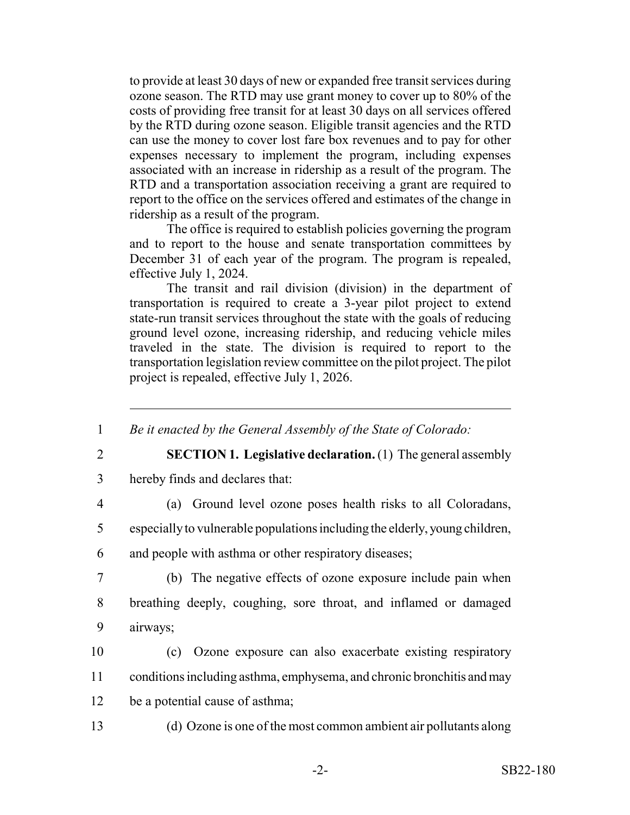to provide at least 30 days of new or expanded free transit services during ozone season. The RTD may use grant money to cover up to 80% of the costs of providing free transit for at least 30 days on all services offered by the RTD during ozone season. Eligible transit agencies and the RTD can use the money to cover lost fare box revenues and to pay for other expenses necessary to implement the program, including expenses associated with an increase in ridership as a result of the program. The RTD and a transportation association receiving a grant are required to report to the office on the services offered and estimates of the change in ridership as a result of the program.

The office is required to establish policies governing the program and to report to the house and senate transportation committees by December 31 of each year of the program. The program is repealed, effective July 1, 2024.

The transit and rail division (division) in the department of transportation is required to create a 3-year pilot project to extend state-run transit services throughout the state with the goals of reducing ground level ozone, increasing ridership, and reducing vehicle miles traveled in the state. The division is required to report to the transportation legislation review committee on the pilot project. The pilot project is repealed, effective July 1, 2026.

1 *Be it enacted by the General Assembly of the State of Colorado:*

2 **SECTION 1. Legislative declaration.** (1) The general assembly

3 hereby finds and declares that:

4 (a) Ground level ozone poses health risks to all Coloradans,

5 especially to vulnerable populations including the elderly, young children,

6 and people with asthma or other respiratory diseases;

7 (b) The negative effects of ozone exposure include pain when 8 breathing deeply, coughing, sore throat, and inflamed or damaged

9 airways;

10 (c) Ozone exposure can also exacerbate existing respiratory 11 conditions including asthma, emphysema, and chronic bronchitis and may 12 be a potential cause of asthma;

13 (d) Ozone is one of the most common ambient air pollutants along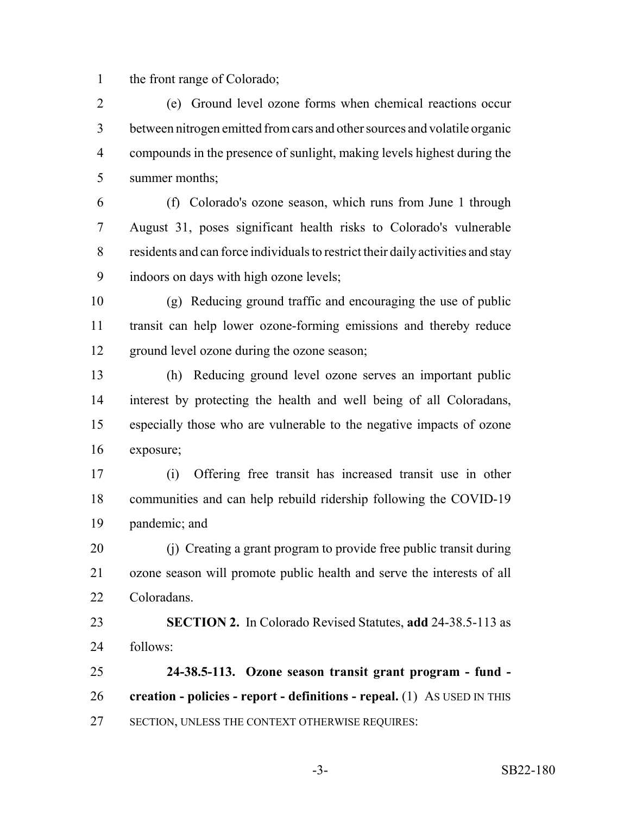the front range of Colorado;

 (e) Ground level ozone forms when chemical reactions occur between nitrogen emitted from cars and other sources and volatile organic compounds in the presence of sunlight, making levels highest during the summer months;

 (f) Colorado's ozone season, which runs from June 1 through August 31, poses significant health risks to Colorado's vulnerable residents and can force individuals to restrict their daily activities and stay indoors on days with high ozone levels;

 (g) Reducing ground traffic and encouraging the use of public transit can help lower ozone-forming emissions and thereby reduce ground level ozone during the ozone season;

 (h) Reducing ground level ozone serves an important public interest by protecting the health and well being of all Coloradans, especially those who are vulnerable to the negative impacts of ozone exposure;

 (i) Offering free transit has increased transit use in other communities and can help rebuild ridership following the COVID-19 pandemic; and

 (j) Creating a grant program to provide free public transit during ozone season will promote public health and serve the interests of all Coloradans.

 **SECTION 2.** In Colorado Revised Statutes, **add** 24-38.5-113 as follows:

 **24-38.5-113. Ozone season transit grant program - fund - creation - policies - report - definitions - repeal.** (1) AS USED IN THIS SECTION, UNLESS THE CONTEXT OTHERWISE REQUIRES: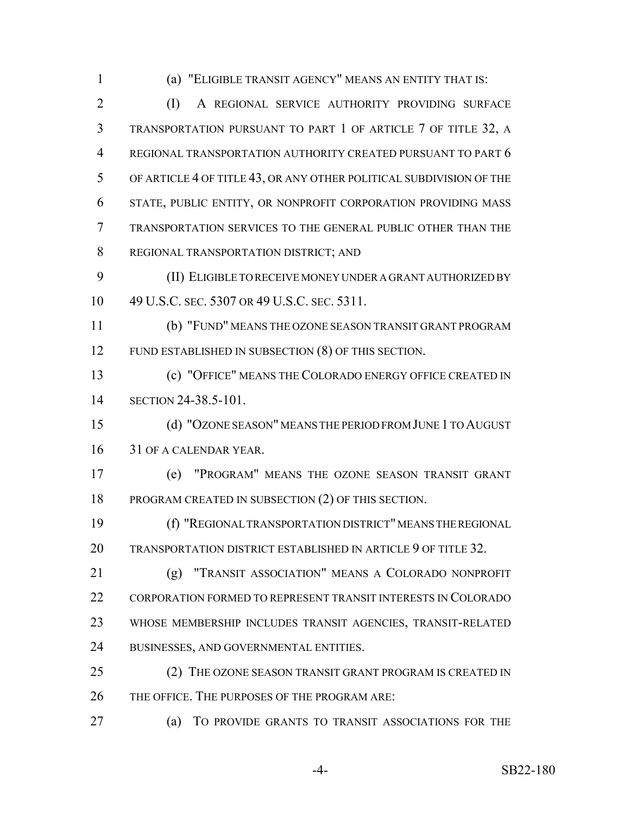- 
- (a) "ELIGIBLE TRANSIT AGENCY" MEANS AN ENTITY THAT IS:

 (I) A REGIONAL SERVICE AUTHORITY PROVIDING SURFACE TRANSPORTATION PURSUANT TO PART 1 OF ARTICLE 7 OF TITLE 32, A REGIONAL TRANSPORTATION AUTHORITY CREATED PURSUANT TO PART 6 OF ARTICLE 4 OF TITLE 43, OR ANY OTHER POLITICAL SUBDIVISION OF THE STATE, PUBLIC ENTITY, OR NONPROFIT CORPORATION PROVIDING MASS TRANSPORTATION SERVICES TO THE GENERAL PUBLIC OTHER THAN THE REGIONAL TRANSPORTATION DISTRICT; AND

 (II) ELIGIBLE TO RECEIVE MONEY UNDER A GRANT AUTHORIZED BY 49 U.S.C. SEC. 5307 OR 49 U.S.C. SEC. 5311.

 (b) "FUND" MEANS THE OZONE SEASON TRANSIT GRANT PROGRAM 12 FUND ESTABLISHED IN SUBSECTION (8) OF THIS SECTION.

 (c) "OFFICE" MEANS THE COLORADO ENERGY OFFICE CREATED IN SECTION 24-38.5-101.

 (d) "OZONE SEASON" MEANS THE PERIOD FROM JUNE 1 TO AUGUST 31 OF A CALENDAR YEAR.

 (e) "PROGRAM" MEANS THE OZONE SEASON TRANSIT GRANT PROGRAM CREATED IN SUBSECTION (2) OF THIS SECTION.

 (f) "REGIONAL TRANSPORTATION DISTRICT" MEANS THE REGIONAL TRANSPORTATION DISTRICT ESTABLISHED IN ARTICLE 9 OF TITLE 32.

 (g) "TRANSIT ASSOCIATION" MEANS A COLORADO NONPROFIT CORPORATION FORMED TO REPRESENT TRANSIT INTERESTS IN COLORADO WHOSE MEMBERSHIP INCLUDES TRANSIT AGENCIES, TRANSIT-RELATED BUSINESSES, AND GOVERNMENTAL ENTITIES.

25 (2) THE OZONE SEASON TRANSIT GRANT PROGRAM IS CREATED IN THE OFFICE. THE PURPOSES OF THE PROGRAM ARE:

(a) TO PROVIDE GRANTS TO TRANSIT ASSOCIATIONS FOR THE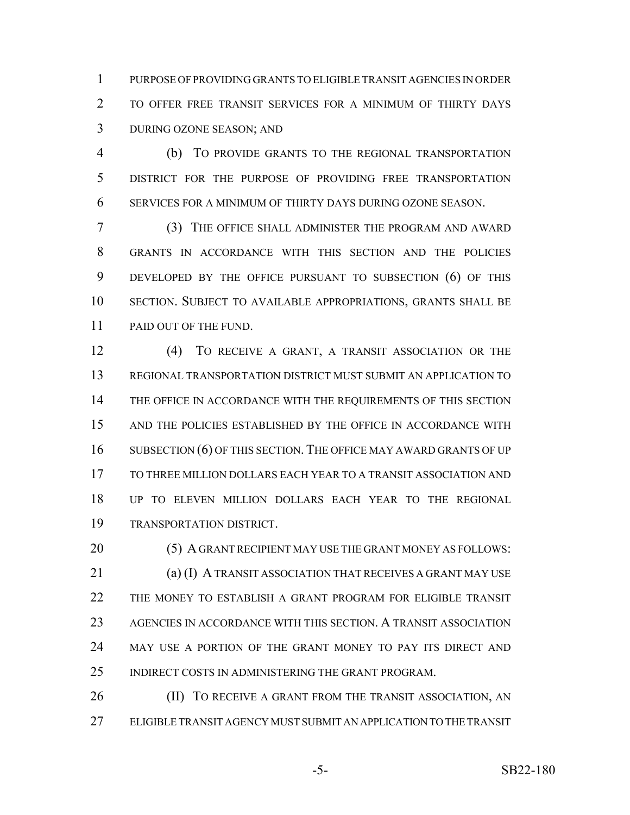PURPOSE OF PROVIDING GRANTS TO ELIGIBLE TRANSIT AGENCIES IN ORDER TO OFFER FREE TRANSIT SERVICES FOR A MINIMUM OF THIRTY DAYS DURING OZONE SEASON; AND

 (b) TO PROVIDE GRANTS TO THE REGIONAL TRANSPORTATION DISTRICT FOR THE PURPOSE OF PROVIDING FREE TRANSPORTATION SERVICES FOR A MINIMUM OF THIRTY DAYS DURING OZONE SEASON.

 (3) THE OFFICE SHALL ADMINISTER THE PROGRAM AND AWARD GRANTS IN ACCORDANCE WITH THIS SECTION AND THE POLICIES DEVELOPED BY THE OFFICE PURSUANT TO SUBSECTION (6) OF THIS SECTION. SUBJECT TO AVAILABLE APPROPRIATIONS, GRANTS SHALL BE 11 PAID OUT OF THE FUND.

 (4) TO RECEIVE A GRANT, A TRANSIT ASSOCIATION OR THE REGIONAL TRANSPORTATION DISTRICT MUST SUBMIT AN APPLICATION TO THE OFFICE IN ACCORDANCE WITH THE REQUIREMENTS OF THIS SECTION AND THE POLICIES ESTABLISHED BY THE OFFICE IN ACCORDANCE WITH 16 SUBSECTION (6) OF THIS SECTION. THE OFFICE MAY AWARD GRANTS OF UP TO THREE MILLION DOLLARS EACH YEAR TO A TRANSIT ASSOCIATION AND UP TO ELEVEN MILLION DOLLARS EACH YEAR TO THE REGIONAL TRANSPORTATION DISTRICT.

20 (5) A GRANT RECIPIENT MAY USE THE GRANT MONEY AS FOLLOWS: (a) (I) A TRANSIT ASSOCIATION THAT RECEIVES A GRANT MAY USE THE MONEY TO ESTABLISH A GRANT PROGRAM FOR ELIGIBLE TRANSIT AGENCIES IN ACCORDANCE WITH THIS SECTION. A TRANSIT ASSOCIATION MAY USE A PORTION OF THE GRANT MONEY TO PAY ITS DIRECT AND INDIRECT COSTS IN ADMINISTERING THE GRANT PROGRAM.

**(II)** TO RECEIVE A GRANT FROM THE TRANSIT ASSOCIATION, AN ELIGIBLE TRANSIT AGENCY MUST SUBMIT AN APPLICATION TO THE TRANSIT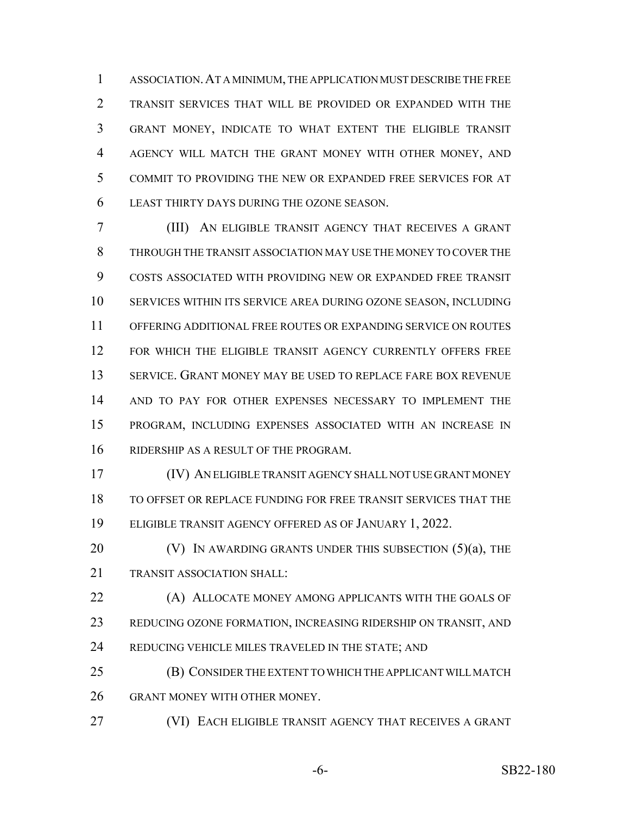ASSOCIATION.AT A MINIMUM, THE APPLICATION MUST DESCRIBE THE FREE TRANSIT SERVICES THAT WILL BE PROVIDED OR EXPANDED WITH THE GRANT MONEY, INDICATE TO WHAT EXTENT THE ELIGIBLE TRANSIT AGENCY WILL MATCH THE GRANT MONEY WITH OTHER MONEY, AND COMMIT TO PROVIDING THE NEW OR EXPANDED FREE SERVICES FOR AT LEAST THIRTY DAYS DURING THE OZONE SEASON.

 (III) AN ELIGIBLE TRANSIT AGENCY THAT RECEIVES A GRANT THROUGH THE TRANSIT ASSOCIATION MAY USE THE MONEY TO COVER THE COSTS ASSOCIATED WITH PROVIDING NEW OR EXPANDED FREE TRANSIT SERVICES WITHIN ITS SERVICE AREA DURING OZONE SEASON, INCLUDING OFFERING ADDITIONAL FREE ROUTES OR EXPANDING SERVICE ON ROUTES 12 FOR WHICH THE ELIGIBLE TRANSIT AGENCY CURRENTLY OFFERS FREE SERVICE. GRANT MONEY MAY BE USED TO REPLACE FARE BOX REVENUE AND TO PAY FOR OTHER EXPENSES NECESSARY TO IMPLEMENT THE PROGRAM, INCLUDING EXPENSES ASSOCIATED WITH AN INCREASE IN RIDERSHIP AS A RESULT OF THE PROGRAM.

 (IV) AN ELIGIBLE TRANSIT AGENCY SHALL NOT USE GRANT MONEY TO OFFSET OR REPLACE FUNDING FOR FREE TRANSIT SERVICES THAT THE ELIGIBLE TRANSIT AGENCY OFFERED AS OF JANUARY 1, 2022.

20  $\hspace{1cm}$  (V) IN AWARDING GRANTS UNDER THIS SUBSECTION (5)(a), THE TRANSIT ASSOCIATION SHALL:

 (A) ALLOCATE MONEY AMONG APPLICANTS WITH THE GOALS OF REDUCING OZONE FORMATION, INCREASING RIDERSHIP ON TRANSIT, AND REDUCING VEHICLE MILES TRAVELED IN THE STATE; AND

 (B) CONSIDER THE EXTENT TO WHICH THE APPLICANT WILL MATCH GRANT MONEY WITH OTHER MONEY.

(VI) EACH ELIGIBLE TRANSIT AGENCY THAT RECEIVES A GRANT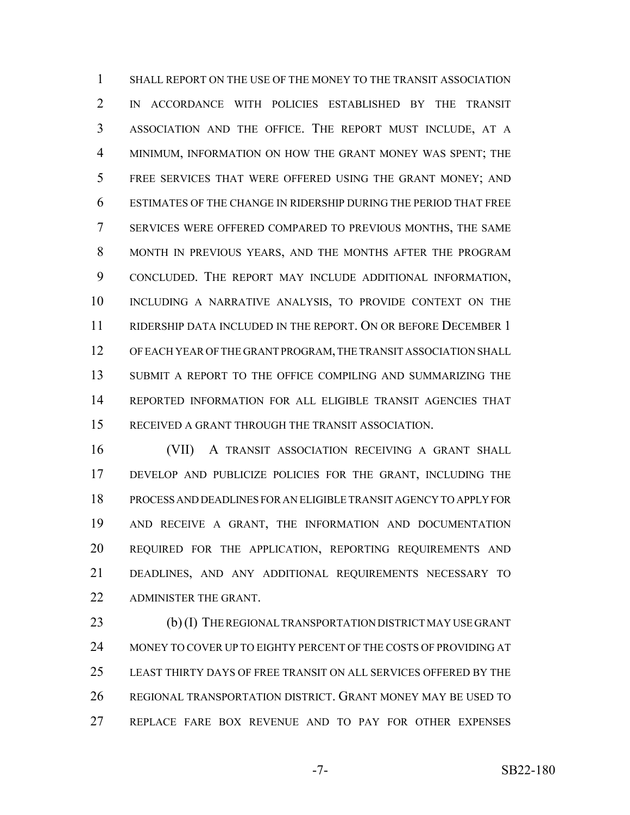SHALL REPORT ON THE USE OF THE MONEY TO THE TRANSIT ASSOCIATION IN ACCORDANCE WITH POLICIES ESTABLISHED BY THE TRANSIT ASSOCIATION AND THE OFFICE. THE REPORT MUST INCLUDE, AT A MINIMUM, INFORMATION ON HOW THE GRANT MONEY WAS SPENT; THE FREE SERVICES THAT WERE OFFERED USING THE GRANT MONEY; AND ESTIMATES OF THE CHANGE IN RIDERSHIP DURING THE PERIOD THAT FREE SERVICES WERE OFFERED COMPARED TO PREVIOUS MONTHS, THE SAME MONTH IN PREVIOUS YEARS, AND THE MONTHS AFTER THE PROGRAM CONCLUDED. THE REPORT MAY INCLUDE ADDITIONAL INFORMATION, INCLUDING A NARRATIVE ANALYSIS, TO PROVIDE CONTEXT ON THE RIDERSHIP DATA INCLUDED IN THE REPORT. ON OR BEFORE DECEMBER 1 OF EACH YEAR OF THE GRANT PROGRAM, THE TRANSIT ASSOCIATION SHALL SUBMIT A REPORT TO THE OFFICE COMPILING AND SUMMARIZING THE REPORTED INFORMATION FOR ALL ELIGIBLE TRANSIT AGENCIES THAT RECEIVED A GRANT THROUGH THE TRANSIT ASSOCIATION.

 (VII) A TRANSIT ASSOCIATION RECEIVING A GRANT SHALL DEVELOP AND PUBLICIZE POLICIES FOR THE GRANT, INCLUDING THE PROCESS AND DEADLINES FOR AN ELIGIBLE TRANSIT AGENCY TO APPLY FOR AND RECEIVE A GRANT, THE INFORMATION AND DOCUMENTATION REQUIRED FOR THE APPLICATION, REPORTING REQUIREMENTS AND DEADLINES, AND ANY ADDITIONAL REQUIREMENTS NECESSARY TO ADMINISTER THE GRANT.

 (b) (I) THE REGIONAL TRANSPORTATION DISTRICT MAY USE GRANT MONEY TO COVER UP TO EIGHTY PERCENT OF THE COSTS OF PROVIDING AT LEAST THIRTY DAYS OF FREE TRANSIT ON ALL SERVICES OFFERED BY THE REGIONAL TRANSPORTATION DISTRICT. GRANT MONEY MAY BE USED TO REPLACE FARE BOX REVENUE AND TO PAY FOR OTHER EXPENSES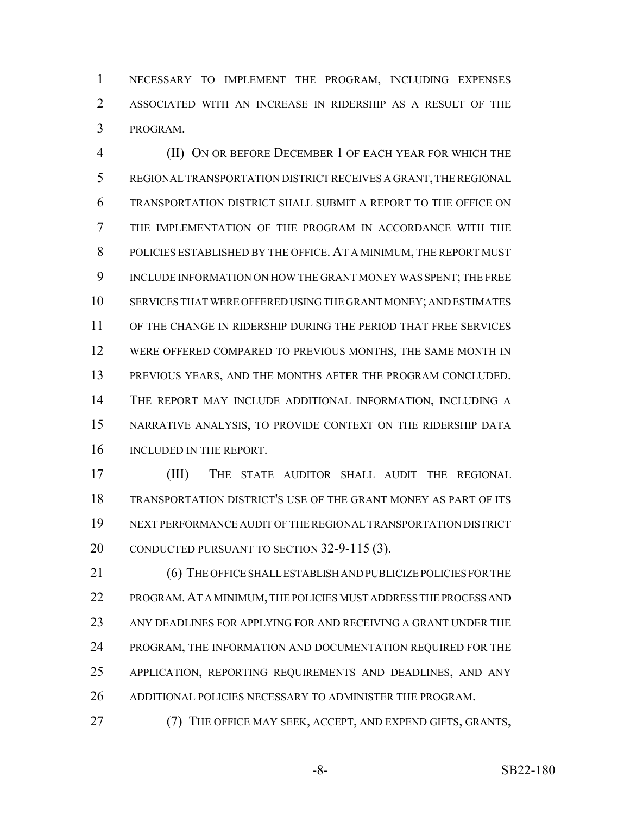NECESSARY TO IMPLEMENT THE PROGRAM, INCLUDING EXPENSES ASSOCIATED WITH AN INCREASE IN RIDERSHIP AS A RESULT OF THE PROGRAM.

 (II) ON OR BEFORE DECEMBER 1 OF EACH YEAR FOR WHICH THE REGIONAL TRANSPORTATION DISTRICT RECEIVES A GRANT, THE REGIONAL TRANSPORTATION DISTRICT SHALL SUBMIT A REPORT TO THE OFFICE ON THE IMPLEMENTATION OF THE PROGRAM IN ACCORDANCE WITH THE POLICIES ESTABLISHED BY THE OFFICE. AT A MINIMUM, THE REPORT MUST INCLUDE INFORMATION ON HOW THE GRANT MONEY WAS SPENT; THE FREE SERVICES THAT WERE OFFERED USING THE GRANT MONEY; AND ESTIMATES OF THE CHANGE IN RIDERSHIP DURING THE PERIOD THAT FREE SERVICES 12 WERE OFFERED COMPARED TO PREVIOUS MONTHS, THE SAME MONTH IN PREVIOUS YEARS, AND THE MONTHS AFTER THE PROGRAM CONCLUDED. THE REPORT MAY INCLUDE ADDITIONAL INFORMATION, INCLUDING A NARRATIVE ANALYSIS, TO PROVIDE CONTEXT ON THE RIDERSHIP DATA INCLUDED IN THE REPORT.

 (III) THE STATE AUDITOR SHALL AUDIT THE REGIONAL TRANSPORTATION DISTRICT'S USE OF THE GRANT MONEY AS PART OF ITS NEXT PERFORMANCE AUDIT OF THE REGIONAL TRANSPORTATION DISTRICT CONDUCTED PURSUANT TO SECTION 32-9-115 (3).

 (6) THE OFFICE SHALL ESTABLISH AND PUBLICIZE POLICIES FOR THE PROGRAM.AT A MINIMUM, THE POLICIES MUST ADDRESS THE PROCESS AND ANY DEADLINES FOR APPLYING FOR AND RECEIVING A GRANT UNDER THE 24 PROGRAM, THE INFORMATION AND DOCUMENTATION REQUIRED FOR THE APPLICATION, REPORTING REQUIREMENTS AND DEADLINES, AND ANY ADDITIONAL POLICIES NECESSARY TO ADMINISTER THE PROGRAM.

(7) THE OFFICE MAY SEEK, ACCEPT, AND EXPEND GIFTS, GRANTS,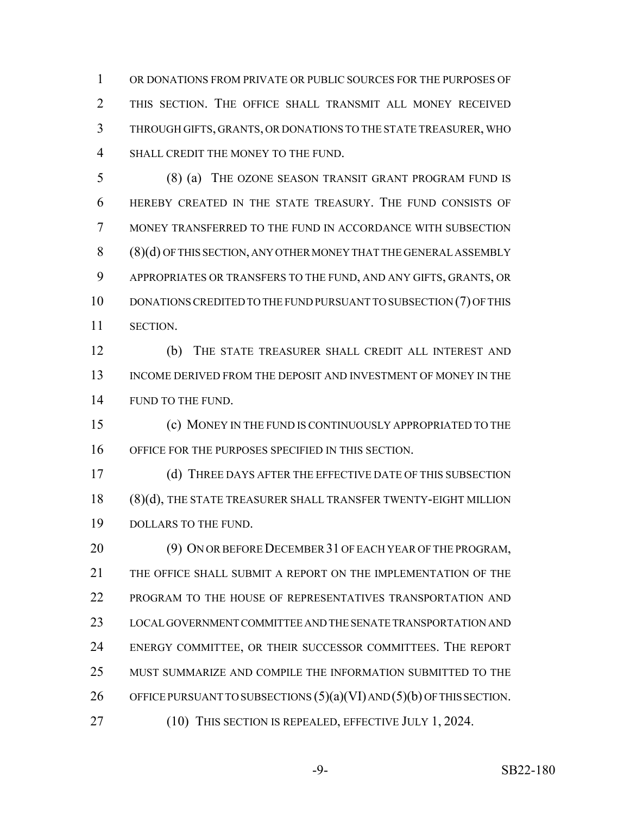OR DONATIONS FROM PRIVATE OR PUBLIC SOURCES FOR THE PURPOSES OF THIS SECTION. THE OFFICE SHALL TRANSMIT ALL MONEY RECEIVED THROUGH GIFTS, GRANTS, OR DONATIONS TO THE STATE TREASURER, WHO SHALL CREDIT THE MONEY TO THE FUND.

 (8) (a) THE OZONE SEASON TRANSIT GRANT PROGRAM FUND IS HEREBY CREATED IN THE STATE TREASURY. THE FUND CONSISTS OF MONEY TRANSFERRED TO THE FUND IN ACCORDANCE WITH SUBSECTION (8)(d) OF THIS SECTION, ANY OTHER MONEY THAT THE GENERAL ASSEMBLY APPROPRIATES OR TRANSFERS TO THE FUND, AND ANY GIFTS, GRANTS, OR 10 DONATIONS CREDITED TO THE FUND PURSUANT TO SUBSECTION (7) OF THIS SECTION.

 (b) THE STATE TREASURER SHALL CREDIT ALL INTEREST AND INCOME DERIVED FROM THE DEPOSIT AND INVESTMENT OF MONEY IN THE 14 FUND TO THE FUND.

 (c) MONEY IN THE FUND IS CONTINUOUSLY APPROPRIATED TO THE OFFICE FOR THE PURPOSES SPECIFIED IN THIS SECTION.

 (d) THREE DAYS AFTER THE EFFECTIVE DATE OF THIS SUBSECTION (8)(d), THE STATE TREASURER SHALL TRANSFER TWENTY-EIGHT MILLION DOLLARS TO THE FUND.

 (9) ON OR BEFORE DECEMBER 31 OF EACH YEAR OF THE PROGRAM, THE OFFICE SHALL SUBMIT A REPORT ON THE IMPLEMENTATION OF THE PROGRAM TO THE HOUSE OF REPRESENTATIVES TRANSPORTATION AND LOCAL GOVERNMENT COMMITTEE AND THE SENATE TRANSPORTATION AND ENERGY COMMITTEE, OR THEIR SUCCESSOR COMMITTEES. THE REPORT MUST SUMMARIZE AND COMPILE THE INFORMATION SUBMITTED TO THE 26 OFFICE PURSUANT TO SUBSECTIONS  $(5)(a)(VI)$  AND  $(5)(b)$  OF THIS SECTION. 27 (10) THIS SECTION IS REPEALED, EFFECTIVE JULY 1, 2024.